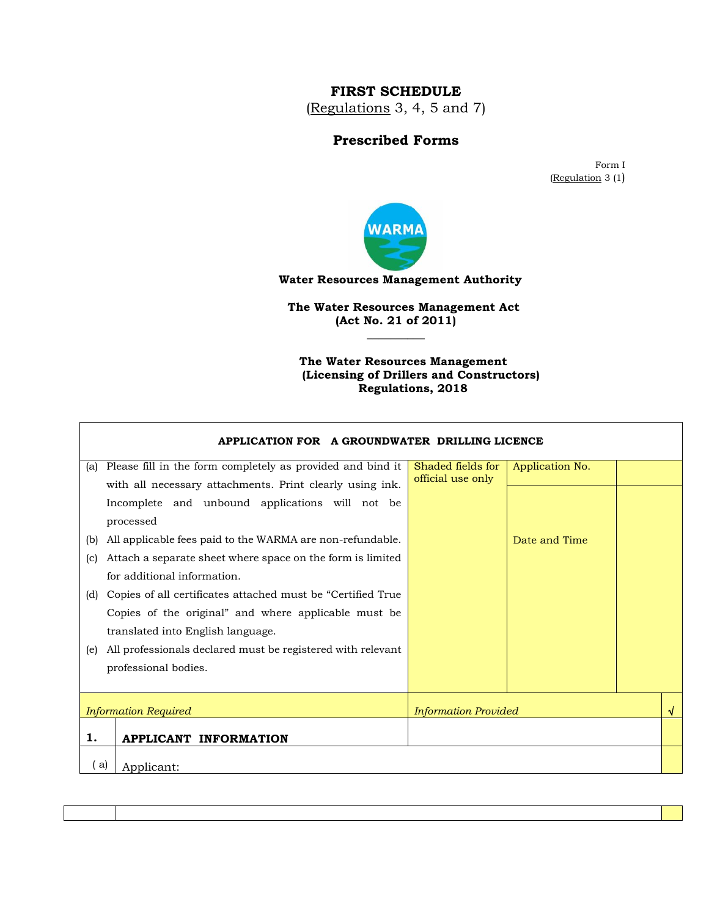## **FIRST SCHEDULE**

(Regulations 3, 4, 5 and 7)

## **Prescribed Forms**

Form I (Regulation 3 (1)



 **Water Resources Management Authority**

 **The Water Resources Management Act (Act No. 21 of 2011)**

**\_\_\_\_\_\_\_\_\_\_**

 $\mathsf I$ 

 **The Water Resources Management (Licensing of Drillers and Constructors) Regulations, 2018**

|      | APPLICATION FOR A GROUNDWATER DRILLING LICENCE               |                             |                 |  |
|------|--------------------------------------------------------------|-----------------------------|-----------------|--|
| (a)  | Please fill in the form completely as provided and bind it   | Shaded fields for           | Application No. |  |
|      | with all necessary attachments. Print clearly using ink.     | official use only           |                 |  |
|      | Incomplete and unbound applications will not be              |                             |                 |  |
|      | processed                                                    |                             |                 |  |
| (b)  | All applicable fees paid to the WARMA are non-refundable.    |                             | Date and Time   |  |
| (c)  | Attach a separate sheet where space on the form is limited   |                             |                 |  |
|      | for additional information.                                  |                             |                 |  |
| (d)  | Copies of all certificates attached must be "Certified True" |                             |                 |  |
|      | Copies of the original" and where applicable must be         |                             |                 |  |
|      | translated into English language.                            |                             |                 |  |
| (e)  | All professionals declared must be registered with relevant  |                             |                 |  |
|      | professional bodies.                                         |                             |                 |  |
|      |                                                              |                             |                 |  |
|      | <b>Information Required</b>                                  | <b>Information Provided</b> |                 |  |
| 1.   | <b>APPLICANT INFORMATION</b>                                 |                             |                 |  |
| ( a) | Applicant:                                                   |                             |                 |  |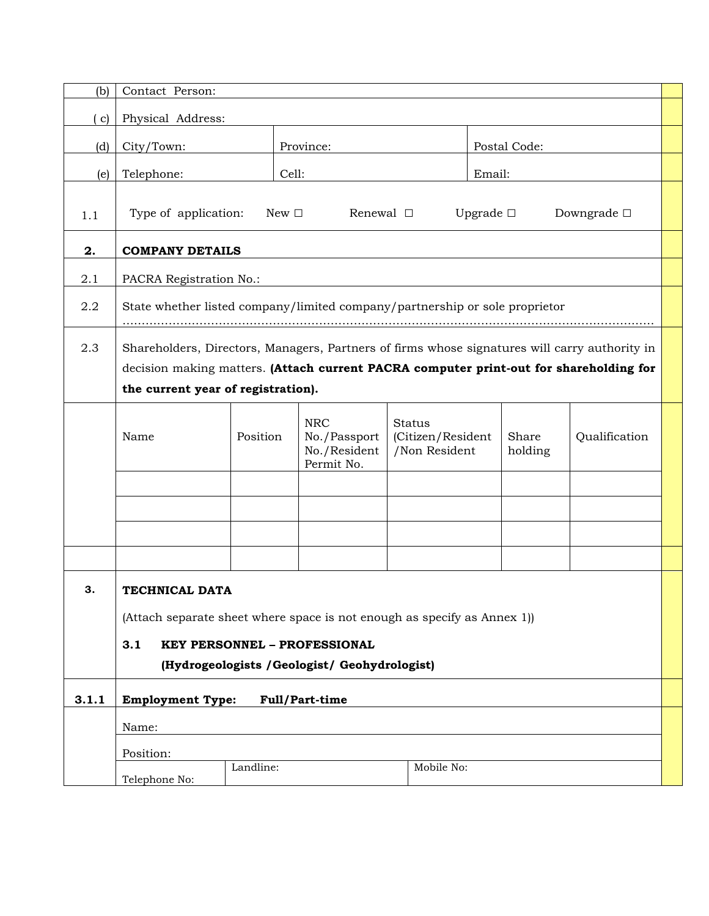| (b)          | Contact Person:                                                                                                                                                                                                               |          |                                                          |                                                     |              |                  |               |  |
|--------------|-------------------------------------------------------------------------------------------------------------------------------------------------------------------------------------------------------------------------------|----------|----------------------------------------------------------|-----------------------------------------------------|--------------|------------------|---------------|--|
| $\mathbf{c}$ | Physical Address:                                                                                                                                                                                                             |          |                                                          |                                                     |              |                  |               |  |
| (d)          | City/Town:                                                                                                                                                                                                                    |          | Province:                                                |                                                     | Postal Code: |                  |               |  |
| (e)          | Telephone:                                                                                                                                                                                                                    |          | Cell:                                                    |                                                     | Email:       |                  |               |  |
| 1.1          | Type of application:<br>New $\Box$<br>Upgrade $\square$<br>Renewal $\Box$<br>Downgrade $\square$                                                                                                                              |          |                                                          |                                                     |              |                  |               |  |
| 2.           | <b>COMPANY DETAILS</b>                                                                                                                                                                                                        |          |                                                          |                                                     |              |                  |               |  |
| 2.1          | PACRA Registration No.:                                                                                                                                                                                                       |          |                                                          |                                                     |              |                  |               |  |
| 2.2          | State whether listed company/limited company/partnership or sole proprietor                                                                                                                                                   |          |                                                          |                                                     |              |                  |               |  |
| 2.3          | Shareholders, Directors, Managers, Partners of firms whose signatures will carry authority in<br>decision making matters. (Attach current PACRA computer print-out for shareholding for<br>the current year of registration). |          |                                                          |                                                     |              |                  |               |  |
|              | Name                                                                                                                                                                                                                          | Position | <b>NRC</b><br>No./Passport<br>No./Resident<br>Permit No. | <b>Status</b><br>(Citizen/Resident<br>/Non Resident |              | Share<br>holding | Qualification |  |
|              |                                                                                                                                                                                                                               |          |                                                          |                                                     |              |                  |               |  |
|              |                                                                                                                                                                                                                               |          |                                                          |                                                     |              |                  |               |  |
| 3.           | TECHNICAL DATA<br>(Attach separate sheet where space is not enough as specify as Annex 1))<br>3.1<br><b>KEY PERSONNEL - PROFESSIONAL</b><br>(Hydrogeologists / Geologist/ Geohydrologist)                                     |          |                                                          |                                                     |              |                  |               |  |
| 3.1.1        | <b>Employment Type:</b>                                                                                                                                                                                                       |          | Full/Part-time                                           |                                                     |              |                  |               |  |
|              | Name:                                                                                                                                                                                                                         |          |                                                          |                                                     |              |                  |               |  |
|              | Position:                                                                                                                                                                                                                     |          |                                                          |                                                     |              |                  |               |  |
|              | Landline:<br>Mobile No:<br>Telephone No:                                                                                                                                                                                      |          |                                                          |                                                     |              |                  |               |  |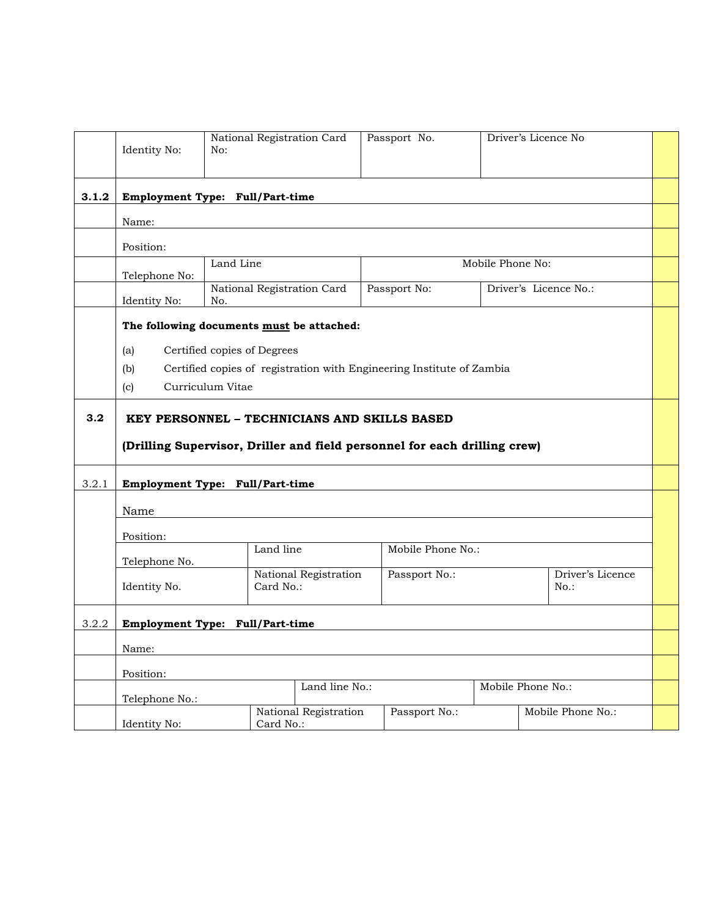|       | Identity No:                              | National Registration Card<br>No:                                         |                       | Passport No.      |                  | Driver's Licence No         |  |
|-------|-------------------------------------------|---------------------------------------------------------------------------|-----------------------|-------------------|------------------|-----------------------------|--|
| 3.1.2 |                                           | Employment Type: Full/Part-time                                           |                       |                   |                  |                             |  |
|       | Name:                                     |                                                                           |                       |                   |                  |                             |  |
|       | Position:                                 |                                                                           |                       |                   |                  |                             |  |
|       | Telephone No:                             | Land Line                                                                 |                       |                   | Mobile Phone No: |                             |  |
|       | Identity No:                              | National Registration Card<br>No.                                         |                       | Passport No:      |                  | Driver's Licence No.:       |  |
|       | The following documents must be attached: |                                                                           |                       |                   |                  |                             |  |
|       | (a)                                       | Certified copies of Degrees                                               |                       |                   |                  |                             |  |
|       | (b)                                       | Certified copies of registration with Engineering Institute of Zambia     |                       |                   |                  |                             |  |
|       | (c)                                       | Curriculum Vitae                                                          |                       |                   |                  |                             |  |
| 3.2   |                                           | KEY PERSONNEL – TECHNICIANS AND SKILLS BASED                              |                       |                   |                  |                             |  |
|       |                                           | (Drilling Supervisor, Driller and field personnel for each drilling crew) |                       |                   |                  |                             |  |
| 3.2.1 |                                           | Employment Type: Full/Part-time                                           |                       |                   |                  |                             |  |
|       | Name                                      |                                                                           |                       |                   |                  |                             |  |
|       | Position:                                 |                                                                           |                       |                   |                  |                             |  |
|       | Telephone No.                             |                                                                           | Land line             | Mobile Phone No.: |                  |                             |  |
|       | Identity No.                              | Card No.:                                                                 | National Registration | Passport No.:     |                  | Driver's Licence<br>$No.$ : |  |
| 3.2.2 | Employment Type: Full/Part-time           |                                                                           |                       |                   |                  |                             |  |
|       | Name:                                     |                                                                           |                       |                   |                  |                             |  |
|       | Position:                                 |                                                                           |                       |                   |                  |                             |  |
|       | Telephone No.:                            |                                                                           | Land line No.:        |                   |                  | Mobile Phone No.:           |  |
|       | Identity No:                              | Card No.:                                                                 | National Registration | Passport No.:     |                  | Mobile Phone No.:           |  |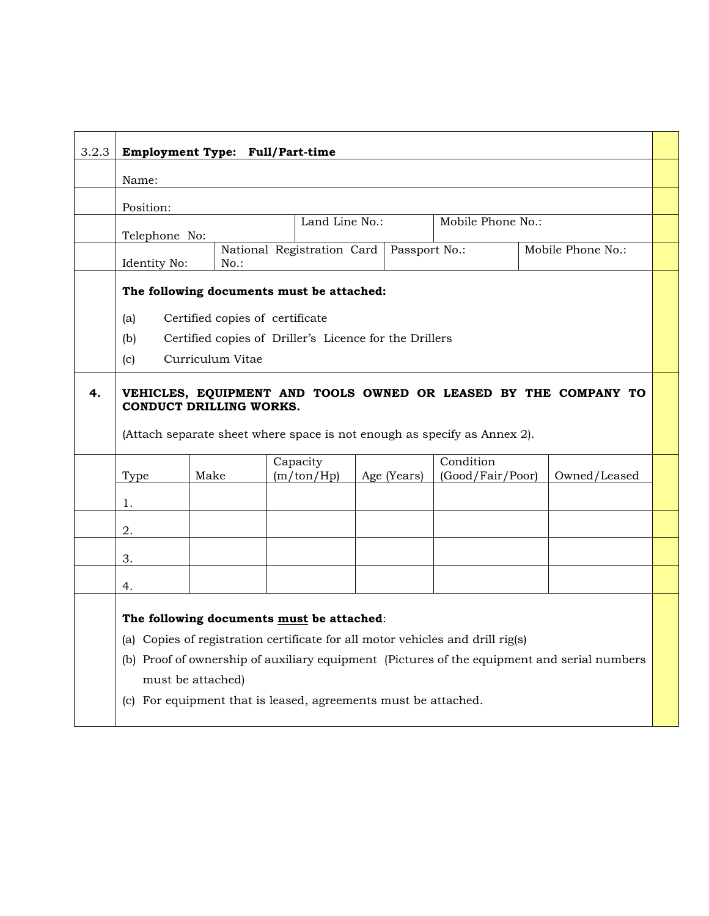| 3.2.3 | Employment Type: Full/Part-time                                                                                                                                                                                                                                                                                   |                  |                                                        |  |             |                               |              |  |
|-------|-------------------------------------------------------------------------------------------------------------------------------------------------------------------------------------------------------------------------------------------------------------------------------------------------------------------|------------------|--------------------------------------------------------|--|-------------|-------------------------------|--------------|--|
|       | Name:                                                                                                                                                                                                                                                                                                             |                  |                                                        |  |             |                               |              |  |
|       | Position:                                                                                                                                                                                                                                                                                                         |                  |                                                        |  |             |                               |              |  |
|       | Land Line No.:<br>Mobile Phone No.:<br>Telephone No:                                                                                                                                                                                                                                                              |                  |                                                        |  |             |                               |              |  |
|       | National Registration Card   Passport No.:<br>Mobile Phone No.:<br>Identity No:<br>$No.$ :                                                                                                                                                                                                                        |                  |                                                        |  |             |                               |              |  |
|       | The following documents must be attached:                                                                                                                                                                                                                                                                         |                  |                                                        |  |             |                               |              |  |
|       | (a)                                                                                                                                                                                                                                                                                                               |                  | Certified copies of certificate                        |  |             |                               |              |  |
|       | (b)<br>(c)                                                                                                                                                                                                                                                                                                        | Curriculum Vitae | Certified copies of Driller's Licence for the Drillers |  |             |                               |              |  |
| 4.    | VEHICLES, EQUIPMENT AND TOOLS OWNED OR LEASED BY THE COMPANY TO<br><b>CONDUCT DRILLING WORKS.</b><br>(Attach separate sheet where space is not enough as specify as Annex 2).                                                                                                                                     |                  |                                                        |  |             |                               |              |  |
|       | Type<br>1.                                                                                                                                                                                                                                                                                                        | Make             | Capacity<br>(m/ton/Hp)                                 |  | Age (Years) | Condition<br>(Good/Fair/Poor) | Owned/Leased |  |
|       | 2.                                                                                                                                                                                                                                                                                                                |                  |                                                        |  |             |                               |              |  |
|       | 3.                                                                                                                                                                                                                                                                                                                |                  |                                                        |  |             |                               |              |  |
|       | 4.                                                                                                                                                                                                                                                                                                                |                  |                                                        |  |             |                               |              |  |
|       | The following documents must be attached:<br>(a) Copies of registration certificate for all motor vehicles and drill rig(s)<br>(b) Proof of ownership of auxiliary equipment (Pictures of the equipment and serial numbers<br>must be attached)<br>(c) For equipment that is leased, agreements must be attached. |                  |                                                        |  |             |                               |              |  |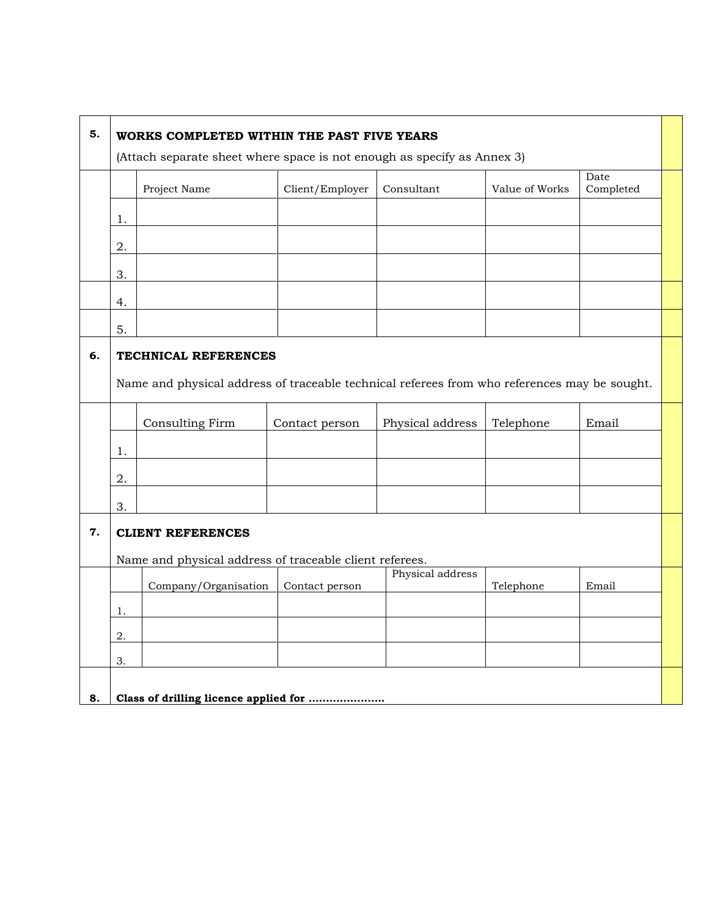| 5. | WORKS COMPLETED WITHIN THE PAST FIVE YEARS<br>(Attach separate sheet where space is not enough as specify as Annex 3) |                                                                                              |                 |                  |                |                   |  |
|----|-----------------------------------------------------------------------------------------------------------------------|----------------------------------------------------------------------------------------------|-----------------|------------------|----------------|-------------------|--|
|    |                                                                                                                       | Project Name                                                                                 | Client/Employer | Consultant       | Value of Works | Date<br>Completed |  |
|    | 1.                                                                                                                    |                                                                                              |                 |                  |                |                   |  |
|    | 2.                                                                                                                    |                                                                                              |                 |                  |                |                   |  |
|    | 3.                                                                                                                    |                                                                                              |                 |                  |                |                   |  |
|    | 4.                                                                                                                    |                                                                                              |                 |                  |                |                   |  |
|    | 5.                                                                                                                    |                                                                                              |                 |                  |                |                   |  |
| 6. |                                                                                                                       | TECHNICAL REFERENCES                                                                         |                 |                  |                |                   |  |
|    |                                                                                                                       | Name and physical address of traceable technical referees from who references may be sought. |                 |                  |                |                   |  |
|    |                                                                                                                       | Consulting Firm                                                                              | Contact person  | Physical address | Telephone      | Email             |  |
|    | 1.                                                                                                                    |                                                                                              |                 |                  |                |                   |  |
|    | 2.                                                                                                                    |                                                                                              |                 |                  |                |                   |  |
|    | 3.                                                                                                                    |                                                                                              |                 |                  |                |                   |  |
| 7. | <b>CLIENT REFERENCES</b>                                                                                              |                                                                                              |                 |                  |                |                   |  |
|    | Name and physical address of traceable client referees.                                                               |                                                                                              |                 |                  |                |                   |  |
|    |                                                                                                                       | Company/Organisation                                                                         | Contact person  | Physical address | Telephone      | Email             |  |
|    | 1.                                                                                                                    |                                                                                              |                 |                  |                |                   |  |
|    | 2.                                                                                                                    |                                                                                              |                 |                  |                |                   |  |
|    | 3.                                                                                                                    |                                                                                              |                 |                  |                |                   |  |
| 8. |                                                                                                                       | Class of drilling licence applied for                                                        |                 |                  |                |                   |  |